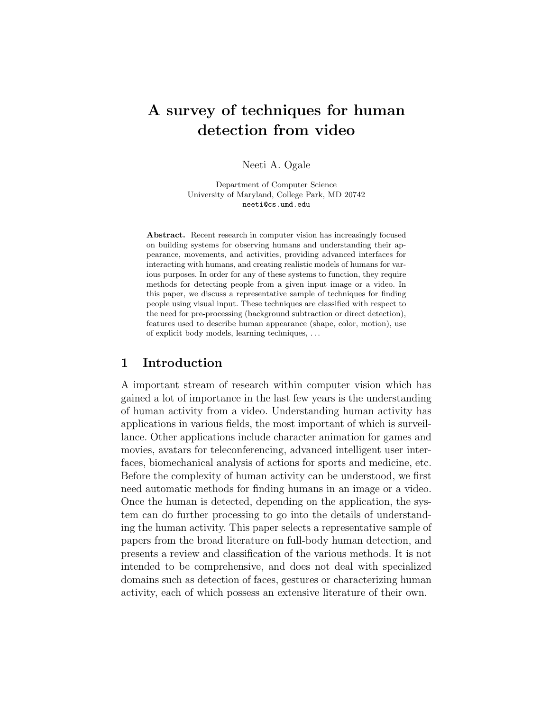# A survey of techniques for human detection from video

Neeti A. Ogale

Department of Computer Science University of Maryland, College Park, MD 20742 neeti@cs.umd.edu

Abstract. Recent research in computer vision has increasingly focused on building systems for observing humans and understanding their appearance, movements, and activities, providing advanced interfaces for interacting with humans, and creating realistic models of humans for various purposes. In order for any of these systems to function, they require methods for detecting people from a given input image or a video. In this paper, we discuss a representative sample of techniques for finding people using visual input. These techniques are classified with respect to the need for pre-processing (background subtraction or direct detection), features used to describe human appearance (shape, color, motion), use of explicit body models, learning techniques, . . .

### 1 Introduction

A important stream of research within computer vision which has gained a lot of importance in the last few years is the understanding of human activity from a video. Understanding human activity has applications in various fields, the most important of which is surveillance. Other applications include character animation for games and movies, avatars for teleconferencing, advanced intelligent user interfaces, biomechanical analysis of actions for sports and medicine, etc. Before the complexity of human activity can be understood, we first need automatic methods for finding humans in an image or a video. Once the human is detected, depending on the application, the system can do further processing to go into the details of understanding the human activity. This paper selects a representative sample of papers from the broad literature on full-body human detection, and presents a review and classification of the various methods. It is not intended to be comprehensive, and does not deal with specialized domains such as detection of faces, gestures or characterizing human activity, each of which possess an extensive literature of their own.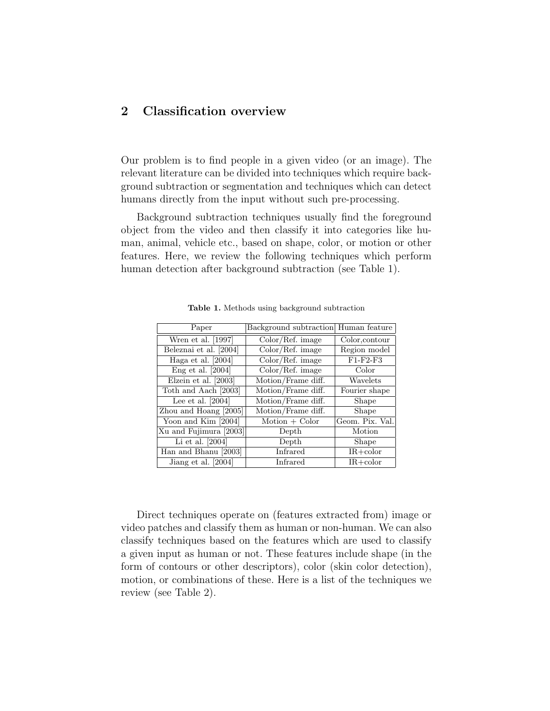## 2 Classification overview

Our problem is to find people in a given video (or an image). The relevant literature can be divided into techniques which require background subtraction or segmentation and techniques which can detect humans directly from the input without such pre-processing.

Background subtraction techniques usually find the foreground object from the video and then classify it into categories like human, animal, vehicle etc., based on shape, color, or motion or other features. Here, we review the following techniques which perform human detection after background subtraction (see Table 1).

| Paper                  | Background subtraction Human feature |                 |
|------------------------|--------------------------------------|-----------------|
| Wren et al. [1997]     | Color/Ref. image                     | Color, contour  |
| Beleznai et al. [2004] | Color/Ref. image                     | Region model    |
| Haga et al. [2004]     | Color/Ref. image                     | $F1-F2-F3$      |
| Eng et al. $[2004]$    | Color/Ref. image                     | Color           |
| Elzein et al. $[2003]$ | Motion/Frame diff.                   | Wavelets        |
| Toth and Aach [2003]   | Motion/Frame diff.                   | Fourier shape   |
| Lee et al. $[2004]$    | Motion/Frame diff.                   | Shape           |
| Zhou and Hoang [2005]  | Motion/Frame diff.                   | Shape           |
| Yoon and Kim [2004]    | $Motion + Color$                     | Geom. Pix. Val. |
| Xu and Fujimura [2003] | Depth                                | Motion          |
| Li et al. $[2004]$     | Depth                                | Shape           |
| Han and Bhanu [2003]   | Infrared                             | $IR + color$    |
| Jiang et al. [2004]    | Infrared                             | $IR + color$    |

Table 1. Methods using background subtraction

Direct techniques operate on (features extracted from) image or video patches and classify them as human or non-human. We can also classify techniques based on the features which are used to classify a given input as human or not. These features include shape (in the form of contours or other descriptors), color (skin color detection), motion, or combinations of these. Here is a list of the techniques we review (see Table 2).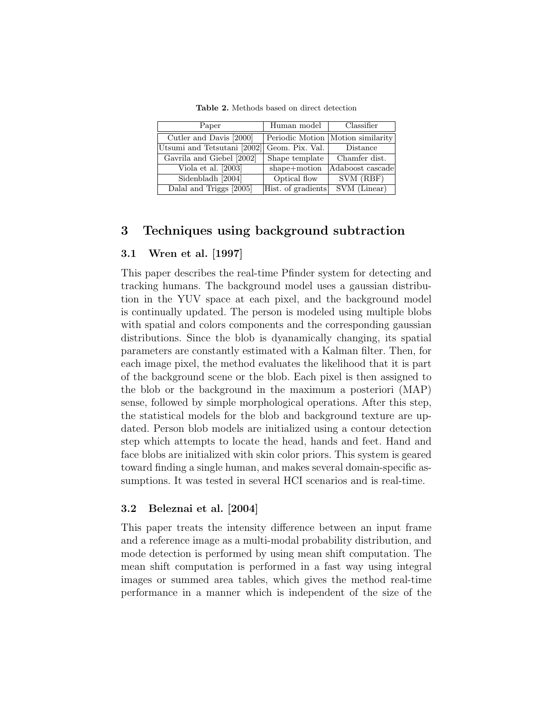Table 2. Methods based on direct detection

| Paper                       | Human model        | Classifier                        |
|-----------------------------|--------------------|-----------------------------------|
| Cutler and Davis [2000]     |                    | Periodic Motion Motion similarity |
| Utsumi and Tetsutani [2002] | Geom. Pix. Val.    | Distance                          |
| Gavrila and Giebel [2002]   | Shape template     | Chamfer dist.                     |
| Viola et al. $[2003]$       | shape+motion       | Adaboost cascade                  |
| Sidenbladh $\sqrt{2004}$    | Optical flow       | SVM (RBF)                         |
| Dalal and Triggs [2005]     | Hist. of gradients | SVM (Linear)                      |

### 3 Techniques using background subtraction

#### 3.1 Wren et al. [1997]

This paper describes the real-time Pfinder system for detecting and tracking humans. The background model uses a gaussian distribution in the YUV space at each pixel, and the background model is continually updated. The person is modeled using multiple blobs with spatial and colors components and the corresponding gaussian distributions. Since the blob is dyanamically changing, its spatial parameters are constantly estimated with a Kalman filter. Then, for each image pixel, the method evaluates the likelihood that it is part of the background scene or the blob. Each pixel is then assigned to the blob or the background in the maximum a posteriori (MAP) sense, followed by simple morphological operations. After this step, the statistical models for the blob and background texture are updated. Person blob models are initialized using a contour detection step which attempts to locate the head, hands and feet. Hand and face blobs are initialized with skin color priors. This system is geared toward finding a single human, and makes several domain-specific assumptions. It was tested in several HCI scenarios and is real-time.

#### 3.2 Beleznai et al. [2004]

This paper treats the intensity difference between an input frame and a reference image as a multi-modal probability distribution, and mode detection is performed by using mean shift computation. The mean shift computation is performed in a fast way using integral images or summed area tables, which gives the method real-time performance in a manner which is independent of the size of the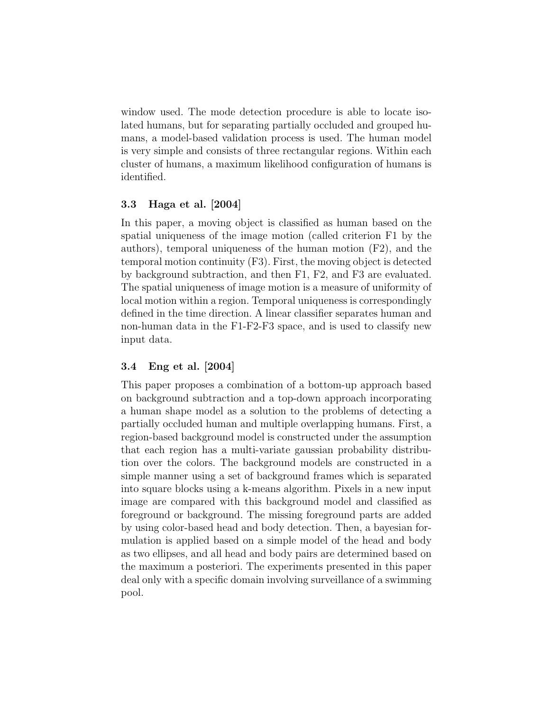window used. The mode detection procedure is able to locate isolated humans, but for separating partially occluded and grouped humans, a model-based validation process is used. The human model is very simple and consists of three rectangular regions. Within each cluster of humans, a maximum likelihood configuration of humans is identified.

### 3.3 Haga et al. [2004]

In this paper, a moving object is classified as human based on the spatial uniqueness of the image motion (called criterion F1 by the authors), temporal uniqueness of the human motion (F2), and the temporal motion continuity (F3). First, the moving object is detected by background subtraction, and then F1, F2, and F3 are evaluated. The spatial uniqueness of image motion is a measure of uniformity of local motion within a region. Temporal uniqueness is correspondingly defined in the time direction. A linear classifier separates human and non-human data in the F1-F2-F3 space, and is used to classify new input data.

### 3.4 Eng et al. [2004]

This paper proposes a combination of a bottom-up approach based on background subtraction and a top-down approach incorporating a human shape model as a solution to the problems of detecting a partially occluded human and multiple overlapping humans. First, a region-based background model is constructed under the assumption that each region has a multi-variate gaussian probability distribution over the colors. The background models are constructed in a simple manner using a set of background frames which is separated into square blocks using a k-means algorithm. Pixels in a new input image are compared with this background model and classified as foreground or background. The missing foreground parts are added by using color-based head and body detection. Then, a bayesian formulation is applied based on a simple model of the head and body as two ellipses, and all head and body pairs are determined based on the maximum a posteriori. The experiments presented in this paper deal only with a specific domain involving surveillance of a swimming pool.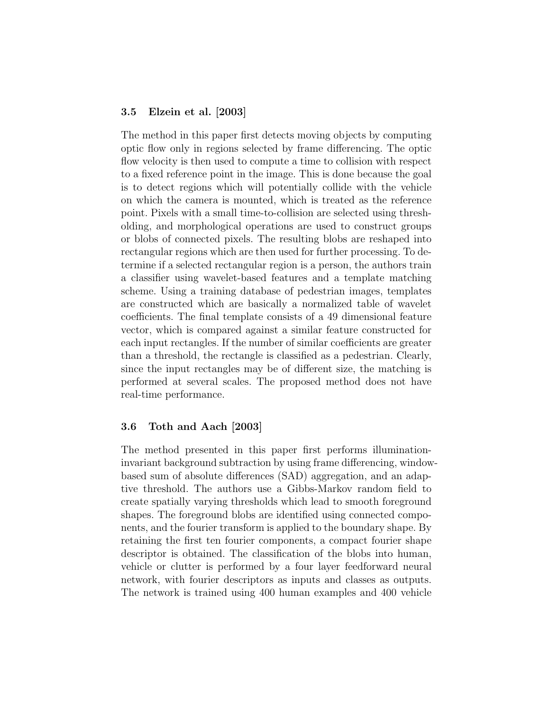#### 3.5 Elzein et al. [2003]

The method in this paper first detects moving objects by computing optic flow only in regions selected by frame differencing. The optic flow velocity is then used to compute a time to collision with respect to a fixed reference point in the image. This is done because the goal is to detect regions which will potentially collide with the vehicle on which the camera is mounted, which is treated as the reference point. Pixels with a small time-to-collision are selected using thresholding, and morphological operations are used to construct groups or blobs of connected pixels. The resulting blobs are reshaped into rectangular regions which are then used for further processing. To determine if a selected rectangular region is a person, the authors train a classifier using wavelet-based features and a template matching scheme. Using a training database of pedestrian images, templates are constructed which are basically a normalized table of wavelet coefficients. The final template consists of a 49 dimensional feature vector, which is compared against a similar feature constructed for each input rectangles. If the number of similar coefficients are greater than a threshold, the rectangle is classified as a pedestrian. Clearly, since the input rectangles may be of different size, the matching is performed at several scales. The proposed method does not have real-time performance.

#### 3.6 Toth and Aach [2003]

The method presented in this paper first performs illuminationinvariant background subtraction by using frame differencing, windowbased sum of absolute differences (SAD) aggregation, and an adaptive threshold. The authors use a Gibbs-Markov random field to create spatially varying thresholds which lead to smooth foreground shapes. The foreground blobs are identified using connected components, and the fourier transform is applied to the boundary shape. By retaining the first ten fourier components, a compact fourier shape descriptor is obtained. The classification of the blobs into human, vehicle or clutter is performed by a four layer feedforward neural network, with fourier descriptors as inputs and classes as outputs. The network is trained using 400 human examples and 400 vehicle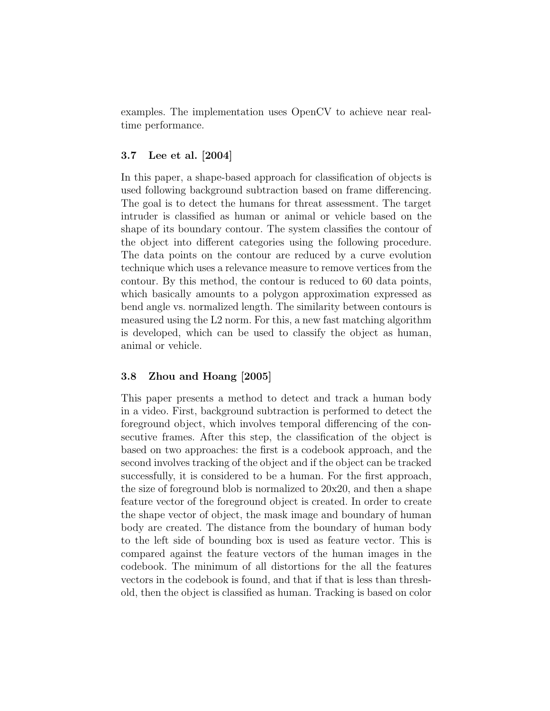examples. The implementation uses OpenCV to achieve near realtime performance.

#### 3.7 Lee et al. [2004]

In this paper, a shape-based approach for classification of objects is used following background subtraction based on frame differencing. The goal is to detect the humans for threat assessment. The target intruder is classified as human or animal or vehicle based on the shape of its boundary contour. The system classifies the contour of the object into different categories using the following procedure. The data points on the contour are reduced by a curve evolution technique which uses a relevance measure to remove vertices from the contour. By this method, the contour is reduced to 60 data points, which basically amounts to a polygon approximation expressed as bend angle vs. normalized length. The similarity between contours is measured using the L2 norm. For this, a new fast matching algorithm is developed, which can be used to classify the object as human, animal or vehicle.

#### 3.8 Zhou and Hoang [2005]

This paper presents a method to detect and track a human body in a video. First, background subtraction is performed to detect the foreground object, which involves temporal differencing of the consecutive frames. After this step, the classification of the object is based on two approaches: the first is a codebook approach, and the second involves tracking of the object and if the object can be tracked successfully, it is considered to be a human. For the first approach, the size of foreground blob is normalized to 20x20, and then a shape feature vector of the foreground object is created. In order to create the shape vector of object, the mask image and boundary of human body are created. The distance from the boundary of human body to the left side of bounding box is used as feature vector. This is compared against the feature vectors of the human images in the codebook. The minimum of all distortions for the all the features vectors in the codebook is found, and that if that is less than threshold, then the object is classified as human. Tracking is based on color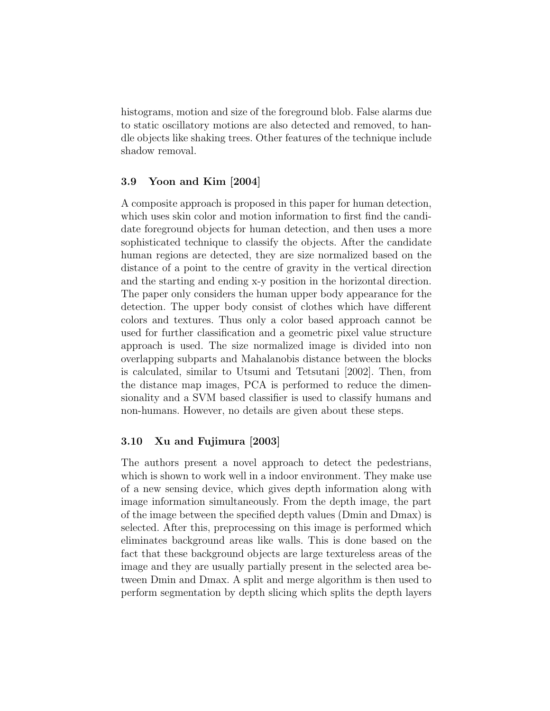histograms, motion and size of the foreground blob. False alarms due to static oscillatory motions are also detected and removed, to handle objects like shaking trees. Other features of the technique include shadow removal.

#### 3.9 Yoon and Kim [2004]

A composite approach is proposed in this paper for human detection, which uses skin color and motion information to first find the candidate foreground objects for human detection, and then uses a more sophisticated technique to classify the objects. After the candidate human regions are detected, they are size normalized based on the distance of a point to the centre of gravity in the vertical direction and the starting and ending x-y position in the horizontal direction. The paper only considers the human upper body appearance for the detection. The upper body consist of clothes which have different colors and textures. Thus only a color based approach cannot be used for further classification and a geometric pixel value structure approach is used. The size normalized image is divided into non overlapping subparts and Mahalanobis distance between the blocks is calculated, similar to Utsumi and Tetsutani [2002]. Then, from the distance map images, PCA is performed to reduce the dimensionality and a SVM based classifier is used to classify humans and non-humans. However, no details are given about these steps.

### 3.10 Xu and Fujimura [2003]

The authors present a novel approach to detect the pedestrians, which is shown to work well in a indoor environment. They make use of a new sensing device, which gives depth information along with image information simultaneously. From the depth image, the part of the image between the specified depth values (Dmin and Dmax) is selected. After this, preprocessing on this image is performed which eliminates background areas like walls. This is done based on the fact that these background objects are large textureless areas of the image and they are usually partially present in the selected area between Dmin and Dmax. A split and merge algorithm is then used to perform segmentation by depth slicing which splits the depth layers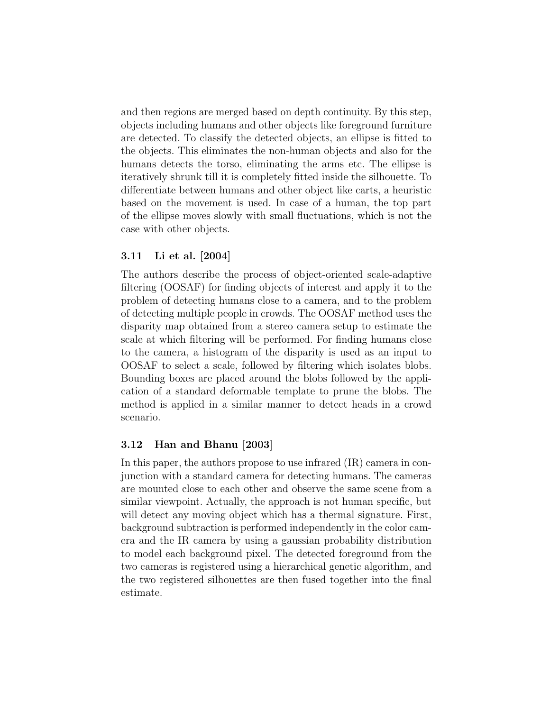and then regions are merged based on depth continuity. By this step, objects including humans and other objects like foreground furniture are detected. To classify the detected objects, an ellipse is fitted to the objects. This eliminates the non-human objects and also for the humans detects the torso, eliminating the arms etc. The ellipse is iteratively shrunk till it is completely fitted inside the silhouette. To differentiate between humans and other object like carts, a heuristic based on the movement is used. In case of a human, the top part of the ellipse moves slowly with small fluctuations, which is not the case with other objects.

### 3.11 Li et al. [2004]

The authors describe the process of object-oriented scale-adaptive filtering (OOSAF) for finding objects of interest and apply it to the problem of detecting humans close to a camera, and to the problem of detecting multiple people in crowds. The OOSAF method uses the disparity map obtained from a stereo camera setup to estimate the scale at which filtering will be performed. For finding humans close to the camera, a histogram of the disparity is used as an input to OOSAF to select a scale, followed by filtering which isolates blobs. Bounding boxes are placed around the blobs followed by the application of a standard deformable template to prune the blobs. The method is applied in a similar manner to detect heads in a crowd scenario.

### 3.12 Han and Bhanu [2003]

In this paper, the authors propose to use infrared  $(IR)$  camera in conjunction with a standard camera for detecting humans. The cameras are mounted close to each other and observe the same scene from a similar viewpoint. Actually, the approach is not human specific, but will detect any moving object which has a thermal signature. First, background subtraction is performed independently in the color camera and the IR camera by using a gaussian probability distribution to model each background pixel. The detected foreground from the two cameras is registered using a hierarchical genetic algorithm, and the two registered silhouettes are then fused together into the final estimate.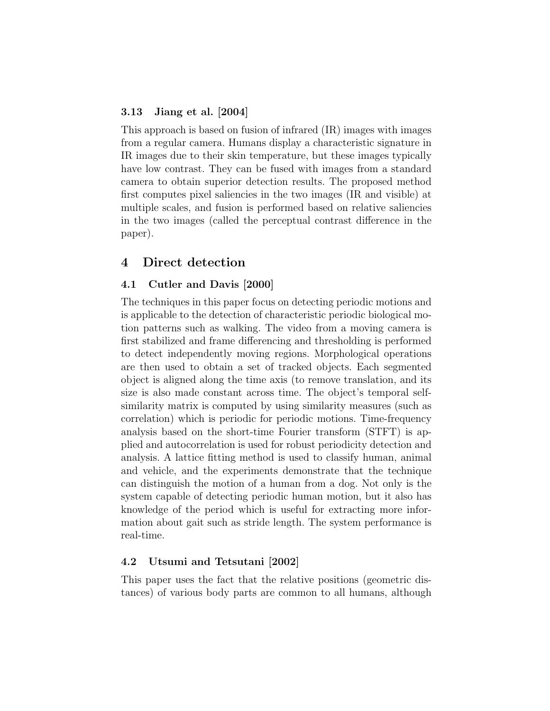#### 3.13 Jiang et al. [2004]

This approach is based on fusion of infrared (IR) images with images from a regular camera. Humans display a characteristic signature in IR images due to their skin temperature, but these images typically have low contrast. They can be fused with images from a standard camera to obtain superior detection results. The proposed method first computes pixel saliencies in the two images (IR and visible) at multiple scales, and fusion is performed based on relative saliencies in the two images (called the perceptual contrast difference in the paper).

### 4 Direct detection

#### 4.1 Cutler and Davis [2000]

The techniques in this paper focus on detecting periodic motions and is applicable to the detection of characteristic periodic biological motion patterns such as walking. The video from a moving camera is first stabilized and frame differencing and thresholding is performed to detect independently moving regions. Morphological operations are then used to obtain a set of tracked objects. Each segmented object is aligned along the time axis (to remove translation, and its size is also made constant across time. The object's temporal selfsimilarity matrix is computed by using similarity measures (such as correlation) which is periodic for periodic motions. Time-frequency analysis based on the short-time Fourier transform (STFT) is applied and autocorrelation is used for robust periodicity detection and analysis. A lattice fitting method is used to classify human, animal and vehicle, and the experiments demonstrate that the technique can distinguish the motion of a human from a dog. Not only is the system capable of detecting periodic human motion, but it also has knowledge of the period which is useful for extracting more information about gait such as stride length. The system performance is real-time.

### 4.2 Utsumi and Tetsutani [2002]

This paper uses the fact that the relative positions (geometric distances) of various body parts are common to all humans, although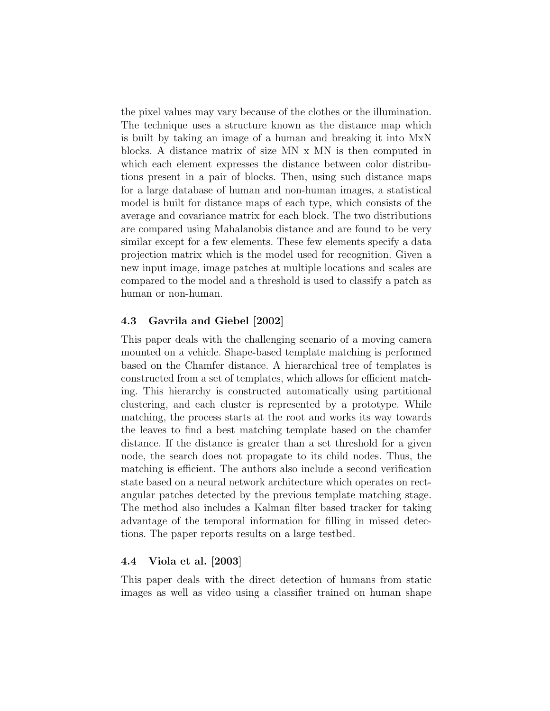the pixel values may vary because of the clothes or the illumination. The technique uses a structure known as the distance map which is built by taking an image of a human and breaking it into MxN blocks. A distance matrix of size MN x MN is then computed in which each element expresses the distance between color distributions present in a pair of blocks. Then, using such distance maps for a large database of human and non-human images, a statistical model is built for distance maps of each type, which consists of the average and covariance matrix for each block. The two distributions are compared using Mahalanobis distance and are found to be very similar except for a few elements. These few elements specify a data projection matrix which is the model used for recognition. Given a new input image, image patches at multiple locations and scales are compared to the model and a threshold is used to classify a patch as human or non-human.

### 4.3 Gavrila and Giebel [2002]

This paper deals with the challenging scenario of a moving camera mounted on a vehicle. Shape-based template matching is performed based on the Chamfer distance. A hierarchical tree of templates is constructed from a set of templates, which allows for efficient matching. This hierarchy is constructed automatically using partitional clustering, and each cluster is represented by a prototype. While matching, the process starts at the root and works its way towards the leaves to find a best matching template based on the chamfer distance. If the distance is greater than a set threshold for a given node, the search does not propagate to its child nodes. Thus, the matching is efficient. The authors also include a second verification state based on a neural network architecture which operates on rectangular patches detected by the previous template matching stage. The method also includes a Kalman filter based tracker for taking advantage of the temporal information for filling in missed detections. The paper reports results on a large testbed.

### 4.4 Viola et al. [2003]

This paper deals with the direct detection of humans from static images as well as video using a classifier trained on human shape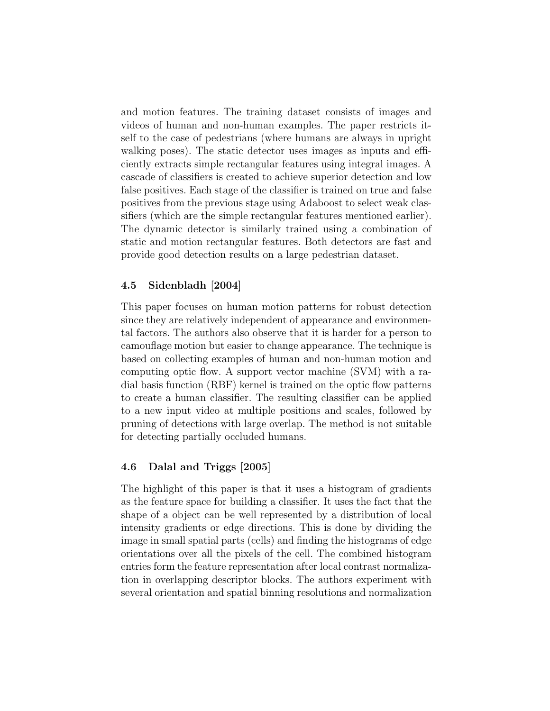and motion features. The training dataset consists of images and videos of human and non-human examples. The paper restricts itself to the case of pedestrians (where humans are always in upright walking poses). The static detector uses images as inputs and efficiently extracts simple rectangular features using integral images. A cascade of classifiers is created to achieve superior detection and low false positives. Each stage of the classifier is trained on true and false positives from the previous stage using Adaboost to select weak classifiers (which are the simple rectangular features mentioned earlier). The dynamic detector is similarly trained using a combination of static and motion rectangular features. Both detectors are fast and provide good detection results on a large pedestrian dataset.

### 4.5 Sidenbladh [2004]

This paper focuses on human motion patterns for robust detection since they are relatively independent of appearance and environmental factors. The authors also observe that it is harder for a person to camouflage motion but easier to change appearance. The technique is based on collecting examples of human and non-human motion and computing optic flow. A support vector machine (SVM) with a radial basis function (RBF) kernel is trained on the optic flow patterns to create a human classifier. The resulting classifier can be applied to a new input video at multiple positions and scales, followed by pruning of detections with large overlap. The method is not suitable for detecting partially occluded humans.

### 4.6 Dalal and Triggs [2005]

The highlight of this paper is that it uses a histogram of gradients as the feature space for building a classifier. It uses the fact that the shape of a object can be well represented by a distribution of local intensity gradients or edge directions. This is done by dividing the image in small spatial parts (cells) and finding the histograms of edge orientations over all the pixels of the cell. The combined histogram entries form the feature representation after local contrast normalization in overlapping descriptor blocks. The authors experiment with several orientation and spatial binning resolutions and normalization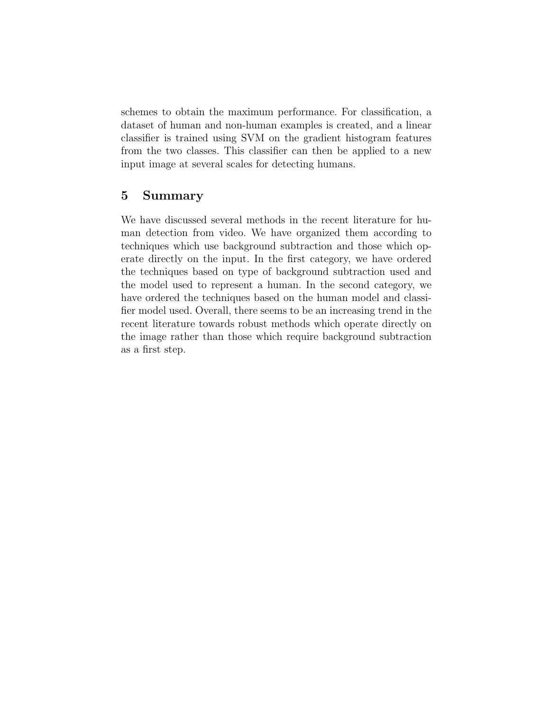schemes to obtain the maximum performance. For classification, a dataset of human and non-human examples is created, and a linear classifier is trained using SVM on the gradient histogram features from the two classes. This classifier can then be applied to a new input image at several scales for detecting humans.

### 5 Summary

We have discussed several methods in the recent literature for human detection from video. We have organized them according to techniques which use background subtraction and those which operate directly on the input. In the first category, we have ordered the techniques based on type of background subtraction used and the model used to represent a human. In the second category, we have ordered the techniques based on the human model and classifier model used. Overall, there seems to be an increasing trend in the recent literature towards robust methods which operate directly on the image rather than those which require background subtraction as a first step.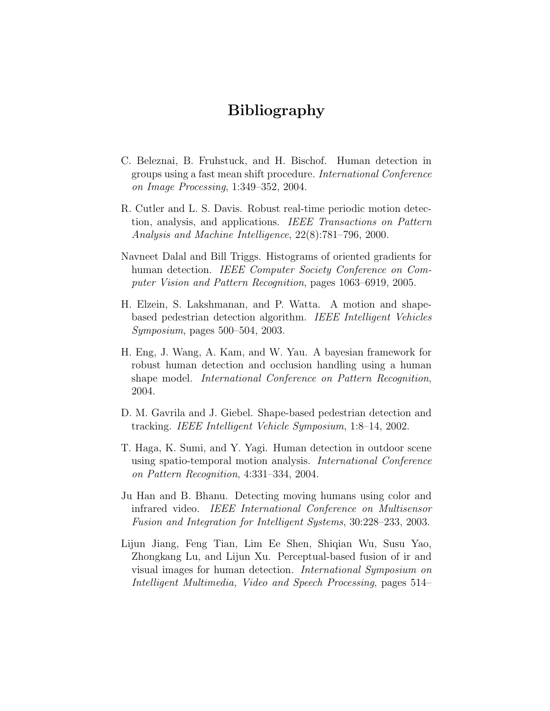# Bibliography

- C. Beleznai, B. Fruhstuck, and H. Bischof. Human detection in groups using a fast mean shift procedure. International Conference on Image Processing, 1:349–352, 2004.
- R. Cutler and L. S. Davis. Robust real-time periodic motion detection, analysis, and applications. IEEE Transactions on Pattern Analysis and Machine Intelligence, 22(8):781–796, 2000.
- Navneet Dalal and Bill Triggs. Histograms of oriented gradients for human detection. IEEE Computer Society Conference on Computer Vision and Pattern Recognition, pages 1063–6919, 2005.
- H. Elzein, S. Lakshmanan, and P. Watta. A motion and shapebased pedestrian detection algorithm. IEEE Intelligent Vehicles Symposium, pages 500–504, 2003.
- H. Eng, J. Wang, A. Kam, and W. Yau. A bayesian framework for robust human detection and occlusion handling using a human shape model. International Conference on Pattern Recognition, 2004.
- D. M. Gavrila and J. Giebel. Shape-based pedestrian detection and tracking. IEEE Intelligent Vehicle Symposium, 1:8–14, 2002.
- T. Haga, K. Sumi, and Y. Yagi. Human detection in outdoor scene using spatio-temporal motion analysis. International Conference on Pattern Recognition, 4:331–334, 2004.
- Ju Han and B. Bhanu. Detecting moving humans using color and infrared video. IEEE International Conference on Multisensor Fusion and Integration for Intelligent Systems, 30:228–233, 2003.
- Lijun Jiang, Feng Tian, Lim Ee Shen, Shiqian Wu, Susu Yao, Zhongkang Lu, and Lijun Xu. Perceptual-based fusion of ir and visual images for human detection. International Symposium on Intelligent Multimedia, Video and Speech Processing, pages 514–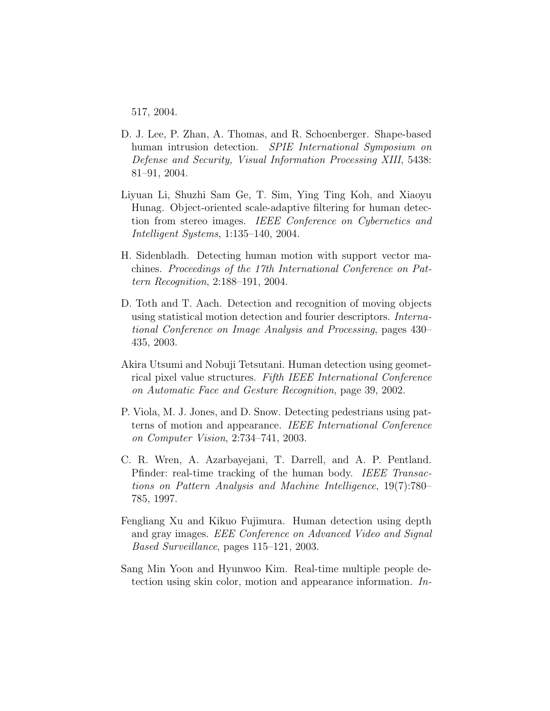517, 2004.

- D. J. Lee, P. Zhan, A. Thomas, and R. Schoenberger. Shape-based human intrusion detection. SPIE International Symposium on Defense and Security, Visual Information Processing XIII, 5438: 81–91, 2004.
- Liyuan Li, Shuzhi Sam Ge, T. Sim, Ying Ting Koh, and Xiaoyu Hunag. Object-oriented scale-adaptive filtering for human detection from stereo images. IEEE Conference on Cybernetics and Intelligent Systems, 1:135–140, 2004.
- H. Sidenbladh. Detecting human motion with support vector machines. Proceedings of the 17th International Conference on Pattern Recognition, 2:188–191, 2004.
- D. Toth and T. Aach. Detection and recognition of moving objects using statistical motion detection and fourier descriptors. International Conference on Image Analysis and Processing, pages 430– 435, 2003.
- Akira Utsumi and Nobuji Tetsutani. Human detection using geometrical pixel value structures. Fifth IEEE International Conference on Automatic Face and Gesture Recognition, page 39, 2002.
- P. Viola, M. J. Jones, and D. Snow. Detecting pedestrians using patterns of motion and appearance. IEEE International Conference on Computer Vision, 2:734–741, 2003.
- C. R. Wren, A. Azarbayejani, T. Darrell, and A. P. Pentland. Pfinder: real-time tracking of the human body. IEEE Transactions on Pattern Analysis and Machine Intelligence, 19(7):780– 785, 1997.
- Fengliang Xu and Kikuo Fujimura. Human detection using depth and gray images. EEE Conference on Advanced Video and Signal Based Surveillance, pages 115–121, 2003.
- Sang Min Yoon and Hyunwoo Kim. Real-time multiple people detection using skin color, motion and appearance information. In-